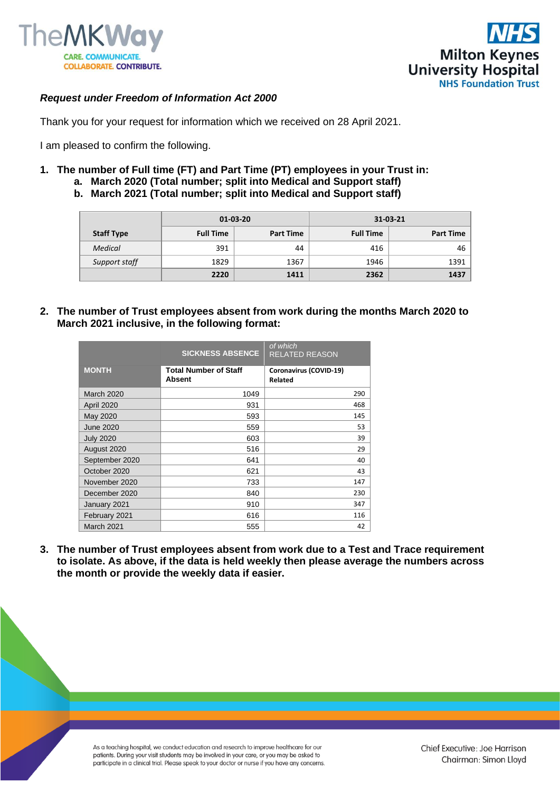



# *Request under Freedom of Information Act 2000*

Thank you for your request for information which we received on 28 April 2021.

I am pleased to confirm the following.

- **1. The number of Full time (FT) and Part Time (PT) employees in your Trust in: a. March 2020 (Total number; split into Medical and Support staff)** 
	- **b. March 2021 (Total number; split into Medical and Support staff)**

|                   | $01 - 03 - 20$   |                  | 31-03-21         |                  |
|-------------------|------------------|------------------|------------------|------------------|
| <b>Staff Type</b> | <b>Full Time</b> | <b>Part Time</b> | <b>Full Time</b> | <b>Part Time</b> |
| Medical           | 391              | 44               | 416              | 46               |
| Support staff     | 1829             | 1367             | 1946             | 1391             |
|                   | 2220             | 1411             | 2362             | 1437             |

**2. The number of Trust employees absent from work during the months March 2020 to March 2021 inclusive, in the following format:**

|                   | <b>SICKNESS ABSENCE</b>                       | of which<br><b>RELATED REASON</b> |
|-------------------|-----------------------------------------------|-----------------------------------|
| <b>MONTH</b>      | <b>Total Number of Staff</b><br><b>Absent</b> | Coronavirus (COVID-19)<br>Related |
| <b>March 2020</b> | 1049                                          | 290                               |
| April 2020        | 931                                           | 468                               |
| May 2020          | 593                                           | 145                               |
| <b>June 2020</b>  | 559                                           | 53                                |
| <b>July 2020</b>  | 603                                           | 39                                |
| August 2020       | 516                                           | 29                                |
| September 2020    | 641                                           | 40                                |
| October 2020      | 621                                           | 43                                |
| November 2020     | 733                                           | 147                               |
| December 2020     | 840                                           | 230                               |
| January 2021      | 910                                           | 347                               |
| February 2021     | 616                                           | 116                               |
| March 2021        | 555                                           | 42                                |

**3. The number of Trust employees absent from work due to a Test and Trace requirement to isolate. As above, if the data is held weekly then please average the numbers across the month or provide the weekly data if easier.** 

> As a teaching hospital, we conduct education and research to improve healthcare for our patients. During your visit students may be involved in your care, or you may be asked to participate in a clinical trial. Please speak to your doctor or nurse if you have any concerns.